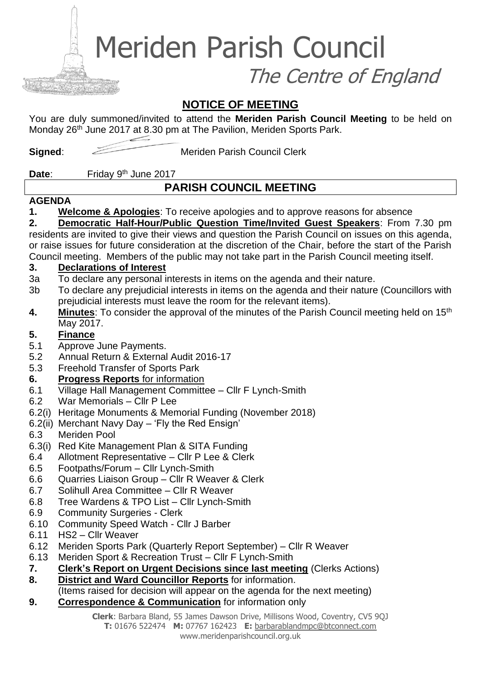Meriden Parish Council

The Centre of England

# **NOTICE OF MEETING**

You are duly summoned/invited to attend the **Meriden Parish Council Meeting** to be held on Monday 26<sup>th</sup> June 2017 at 8.30 pm at The Pavilion, Meriden Sports Park.

**Signed:** Meriden Parish Council Clerk

### Date: Friday 9<sup>th</sup> June 2017

# **PARISH COUNCIL MEETING**

### **AGENDA**

**1. Welcome & Apologies**: To receive apologies and to approve reasons for absence

# **2. Democratic Half-Hour/Public Question Time/Invited Guest Speakers**: From 7.30 pm

residents are invited to give their views and question the Parish Council on issues on this agenda, or raise issues for future consideration at the discretion of the Chair, before the start of the Parish Council meeting. Members of the public may not take part in the Parish Council meeting itself.

### **3. Declarations of Interest**

- 3a To declare any personal interests in items on the agenda and their nature.
- 3b To declare any prejudicial interests in items on the agenda and their nature (Councillors with prejudicial interests must leave the room for the relevant items).
- **4. Minutes**: To consider the approval of the minutes of the Parish Council meeting held on 15th May 2017.

## **5. Finance**

- 5.1 Approve June Payments.
- 5.2 Annual Return & External Audit 2016-17
- 5.3 Freehold Transfer of Sports Park
- **6. Progress Reports** for information
- 6.1 Village Hall Management Committee Cllr F Lynch-Smith
- 6.2 War Memorials Cllr P Lee
- 6.2(i) Heritage Monuments & Memorial Funding (November 2018)
- 6.2(ii) Merchant Navy Day 'Fly the Red Ensign'
- 6.3 Meriden Pool
- 6.3(i) Red Kite Management Plan & SITA Funding
- 6.4 Allotment Representative Cllr P Lee & Clerk
- 6.5 Footpaths/Forum Cllr Lynch-Smith
- 6.6 Quarries Liaison Group Cllr R Weaver & Clerk
- 6.7 Solihull Area Committee Cllr R Weaver
- 6.8 Tree Wardens & TPO List Cllr Lynch-Smith
- 6.9 Community Surgeries Clerk
- 6.10 Community Speed Watch Cllr J Barber
- 6.11 HS2 Cllr Weaver
- 6.12 Meriden Sports Park (Quarterly Report September) Cllr R Weaver
- 6.13 Meriden Sport & Recreation Trust Cllr F Lynch-Smith
- **7. Clerk's Report on Urgent Decisions since last meeting** (Clerks Actions)
- **8. District and Ward Councillor Reports** for information.

(Items raised for decision will appear on the agenda for the next meeting)

**9. Correspondence & Communication** for information only